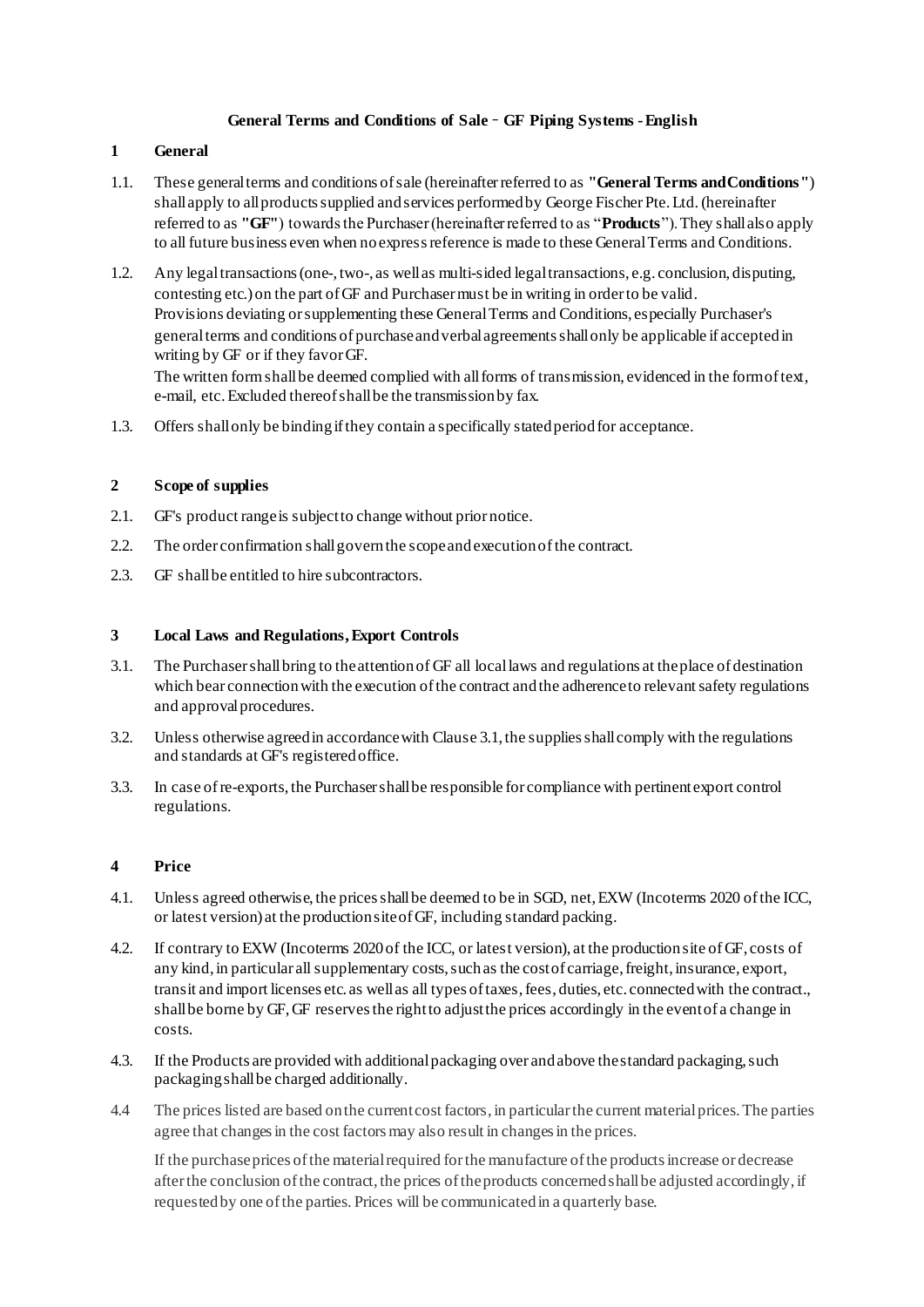## **General Terms and Conditions of Sale** – **GF Piping Systems -English**

## **1 General**

- 1.1. These general terms and conditions of sale (hereinafter referred to as **"General Terms and Conditions"**) shall apply to all products supplied and services performed by George Fischer Pte. Ltd.(hereinafter referred to as **"GF"**) towards the Purchaser (hereinafter referred to as "**Products**").They shall also apply to all future business even when no express reference is made to these General Terms and Conditions.
- 1.2. Any legal transactions (one-, two-, as well as multi-sided legal transactions, e.g. conclusion, disputing, contesting etc.) on the part of GF and Purchaser must be in writing in order to be valid. Provisions deviating or supplementing these General Terms and Conditions, especially Purchaser's general terms and conditions of purchase and verbal agreements shall only be applicable if accepted in writing by GF or if they favor GF. The written form shall be deemed complied with all forms of transmission, evidenced in the form of text, e-mail, etc.Excluded thereof shall be the transmission by fax.
- 1.3. Offers shall only be binding if they contain a specifically stated period for acceptance.

## **2 Scope of supplies**

- 2.1. GF's product range is subject to change without prior notice.
- 2.2. The order confirmation shall govern the scope and execution ofthe contract.
- 2.3. GF shall be entitled to hire subcontractors.

## **3 Local Laws and Regulations, Export Controls**

- 3.1. The Purchaser shall bring to the attention of GF all local laws and regulations at the place of destination which bear connection with the execution of the contract and the adherence to relevant safety regulations and approval procedures.
- 3.2. Unless otherwise agreed in accordance with Clause 3.1, the supplies shall comply with the regulations and standards at GF's registered office.
- 3.3. In case of re-exports,the Purchaser shall be responsible for compliance with pertinent export control regulations.

# **4 Price**

- 4.1. Unless agreed otherwise, the prices shall be deemed to be in SGD, net, EXW (Incoterms 2020 of the ICC, or latest version) at the production site of GF, including standard packing.
- 4.2. If contrary to EXW (Incoterms 2020of the ICC, or latest version), at the production site of GF, costs of any kind, in particular all supplementary costs, such as the cost of carriage, freight, insurance, export, transit and import licenses etc. as well as all types of taxes, fees, duties, etc. connected with the contract., shall be borne by GF, GF reserves the right to adjust the prices accordingly in the event of a change in costs.
- 4.3. If the Products are provided with additional packaging over and above the standard packaging, such packaging shall be charged additionally.
- 4.4 The prices listed are based on the current cost factors, in particular the current material prices. The parties agree that changes in the cost factors may also result in changes in the prices.

If the purchase prices of the material required for the manufacture of the products increase or decrease after the conclusion of the contract, the prices of the products concerned shall be adjusted accordingly, if requested by one of the parties. Prices will be communicated in a quarterly base.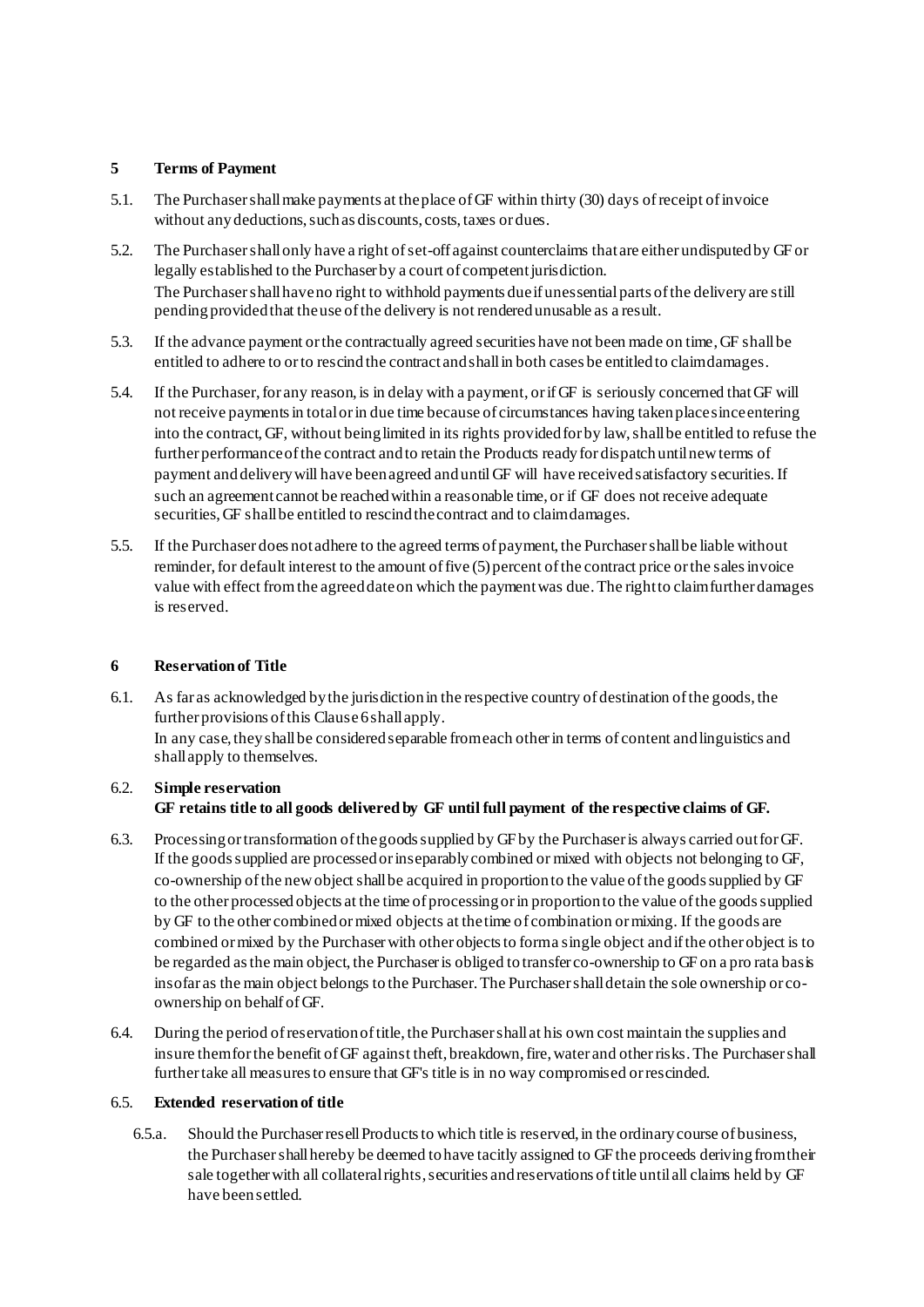## **5 Terms of Payment**

- 5.1. The Purchaser shall make payments at the place of GF within thirty (30) days of receipt of invoice without any deductions, such as discounts, costs, taxes or dues.
- 5.2. The Purchaser shall only have a right of set-off against counterclaims that are either undisputedby GFor legally established to the Purchaser by a court of competent jurisdiction. The Purchaser shall have no right to withhold payments due if unessential parts of the delivery are still pending provided that the use of the delivery is not rendered unusable as a result.
- 5.3. If the advance payment or the contractually agreed securities have not been made on time, GF shall be entitled to adhere to or to rescind the contract and shall in both cases be entitled to claim damages.
- 5.4. If the Purchaser, for any reason, is in delay with a payment, or if GF is seriously concerned thatGF will not receive payments in total or in due time because of circumstances having taken place since entering into the contract, GF, without being limited in its rights provided for by law, shall be entitled to refuse the further performance of the contract and to retain the Products ready for dispatch until new terms of payment and delivery will have been agreed and until GF will have received satisfactory securities. If such an agreement cannot be reached within a reasonable time, or if GF does not receive adequate securities, GF shall be entitled to rescind the contract and to claim damages.
- 5.5. If the Purchaser does not adhere to the agreed terms of payment, the Purchaser shall be liable without reminder, for default interest to the amount of five (5) percent of the contract price or the sales invoice value with effect from the agreed date on which the payment was due.The right to claim further damages is reserved.

# **6 Reservation of Title**

6.1. As far as acknowledged by the jurisdiction in the respective country of destination of the goods, the further provisions of this Clause 6 shall apply. In any case, they shall be considered separable from each other in terms of content and linguistics and shall apply to themselves.

# 6.2. **Simple reservation GF retains title to all goods delivered by GF until full payment of the respective claims of GF.**

- 6.3. Processing or transformation of the goods supplied by GF by the Purchaser is always carried out for GF. If the goods supplied are processed or inseparably combined or mixed with objects not belonging to GF, co-ownership of the new object shall be acquired in proportion to the value of the goods supplied by GF to the other processed objects at the time of processing or in proportion to the value of the goods supplied by GF to the other combined or mixed objects at the time of combination or mixing. If the goods are combined or mixed by the Purchaserwith other objects to form a single object and if the other object is to be regarded as the main object, the Purchaser is obliged to transfer co-ownership to GF on a pro rata basis insofar as the main object belongs to the Purchaser. The Purchaser shall detain the sole ownership or coownership on behalf of GF.
- 6.4. During the period of reservation of title, the Purchaser shall at his own cost maintain the supplies and insure them for the benefit of GF against theft, breakdown, fire, water and other risks. The Purchaser shall further take all measures to ensure that GF's title is in no way compromised or rescinded.

## 6.5. **Extended reservation of title**

6.5.a. Should the Purchaser resell Products to which title is reserved, in the ordinary course of business, the Purchaser shall hereby be deemed to have tacitly assigned to GF the proceeds deriving from their sale together with all collateral rights, securities and reservations of title until all claims held by GF have been settled.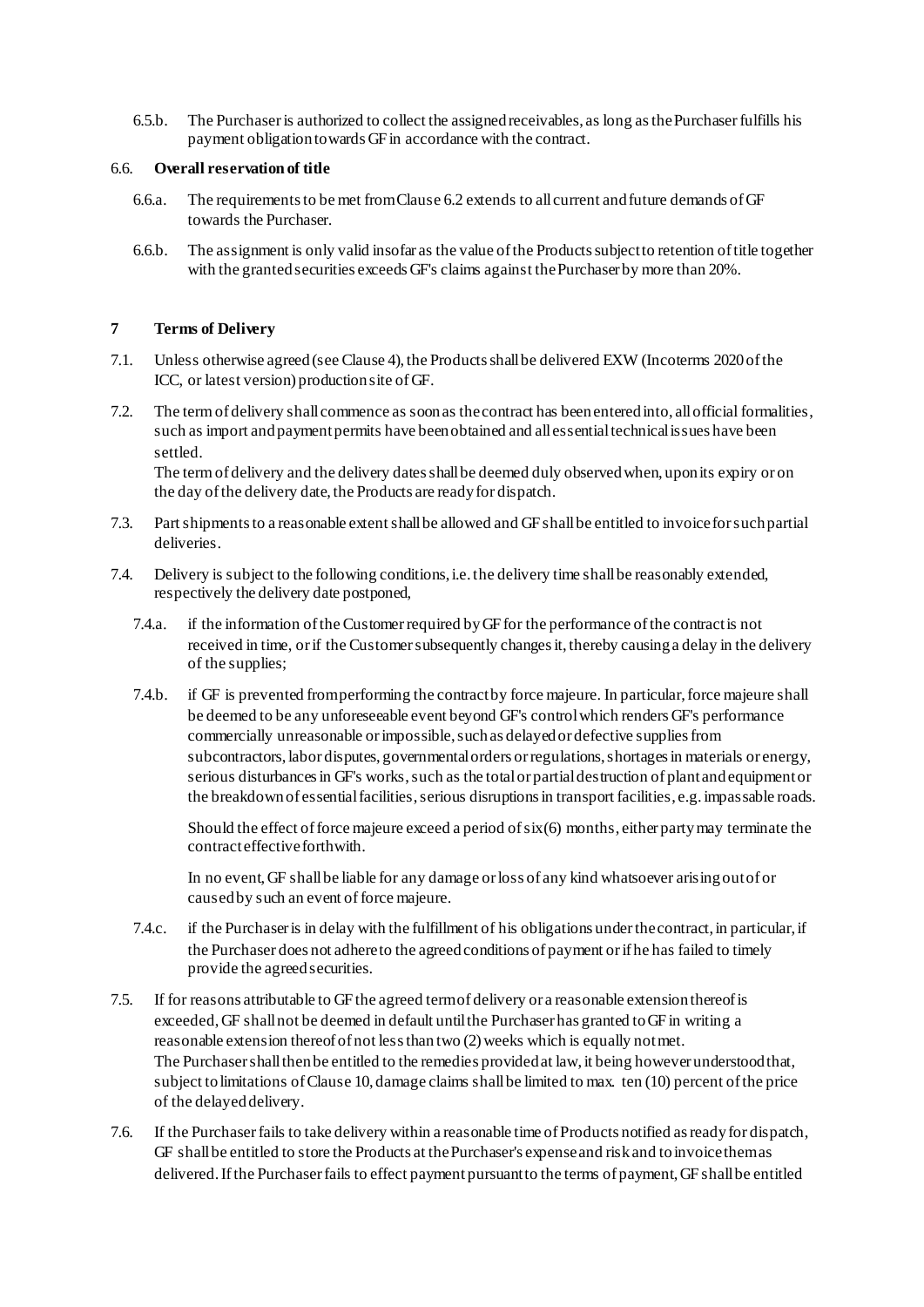6.5.b. The Purchaseris authorized to collect the assigned receivables, as long as the Purchaser fulfills his payment obligation towards GF in accordance with the contract.

#### 6.6. **Overall reservation of title**

- 6.6.a. The requirements to be met from Clause 6.2 extends to all current and future demands of GF towards the Purchaser.
- 6.6.b. The assignment is only valid insofar as the value of the Products subject to retention of title together with the granted securities exceeds GF's claims against the Purchaser by more than 20%.

#### **7 Terms of Delivery**

- 7.1. Unless otherwise agreed (see Clause 4),the Products shall be delivered EXW (Incoterms 2020of the ICC, or latest version) production site of GF.
- 7.2. The term of delivery shall commence as soon as the contract has been entered into, all official formalities, such as import and payment permits have been obtained and all essential technical issues have been settled.

The term of delivery and the delivery dates shall be deemed duly observed when, upon its expiry or on the day of the delivery date, the Products are ready for dispatch.

- 7.3. Part shipments to a reasonable extent shall be allowed and GF shall be entitled to invoice for such partial deliveries.
- 7.4. Delivery is subject to the following conditions, i.e. the delivery time shall be reasonably extended, respectively the delivery date postponed,
	- 7.4.a. if the information of the Customer required by GF for the performance of the contract is not received in time, or if the Customer subsequently changes it, thereby causing a delay in the delivery of the supplies;
	- 7.4.b. if GF is prevented from performing the contract by force majeure. In particular, force majeure shall be deemed to be any unforeseeable event beyond GF's control which renders GF's performance commercially unreasonable or impossible, such as delayed or defective supplies from subcontractors, labor disputes, governmental orders or regulations, shortages in materials or energy, serious disturbances in GF's works, such as the total or partial destruction of plant and equipment or the breakdown of essential facilities, serious disruptions in transport facilities, e.g. impassable roads.

Should the effect of force majeure exceed a period of  $six(6)$  months, either party may terminate the contract effective forthwith.

In no event,GF shall be liable for any damage or loss of any kind whatsoever arising out of or caused by such an event of force majeure.

- 7.4.c. if the Purchaser is in delay with the fulfillment of his obligations under the contract, in particular, if the Purchaser does not adhere to the agreed conditions of payment or if he has failed to timely provide the agreed securities.
- 7.5. If for reasons attributable to GF the agreed term of delivery or a reasonable extension thereof is exceeded, GF shall not be deemed in default until the Purchaser has granted to GF in writing a reasonable extension thereof of not less than two (2) weeks which is equally not met. The Purchaser shall then be entitled to the remedies provided at law, it being however understood that, subject to limitations of Clause 10, damage claims shall be limited to max. ten (10) percent of the price of the delayed delivery.
- 7.6. If the Purchaserfails to take delivery within a reasonable time of Products notified as ready for dispatch, GF shall be entitled to store the Products at the Purchaser's expense and risk and to invoice them as delivered. Ifthe Purchaser fails to effect payment pursuant to the terms of payment, GF shall be entitled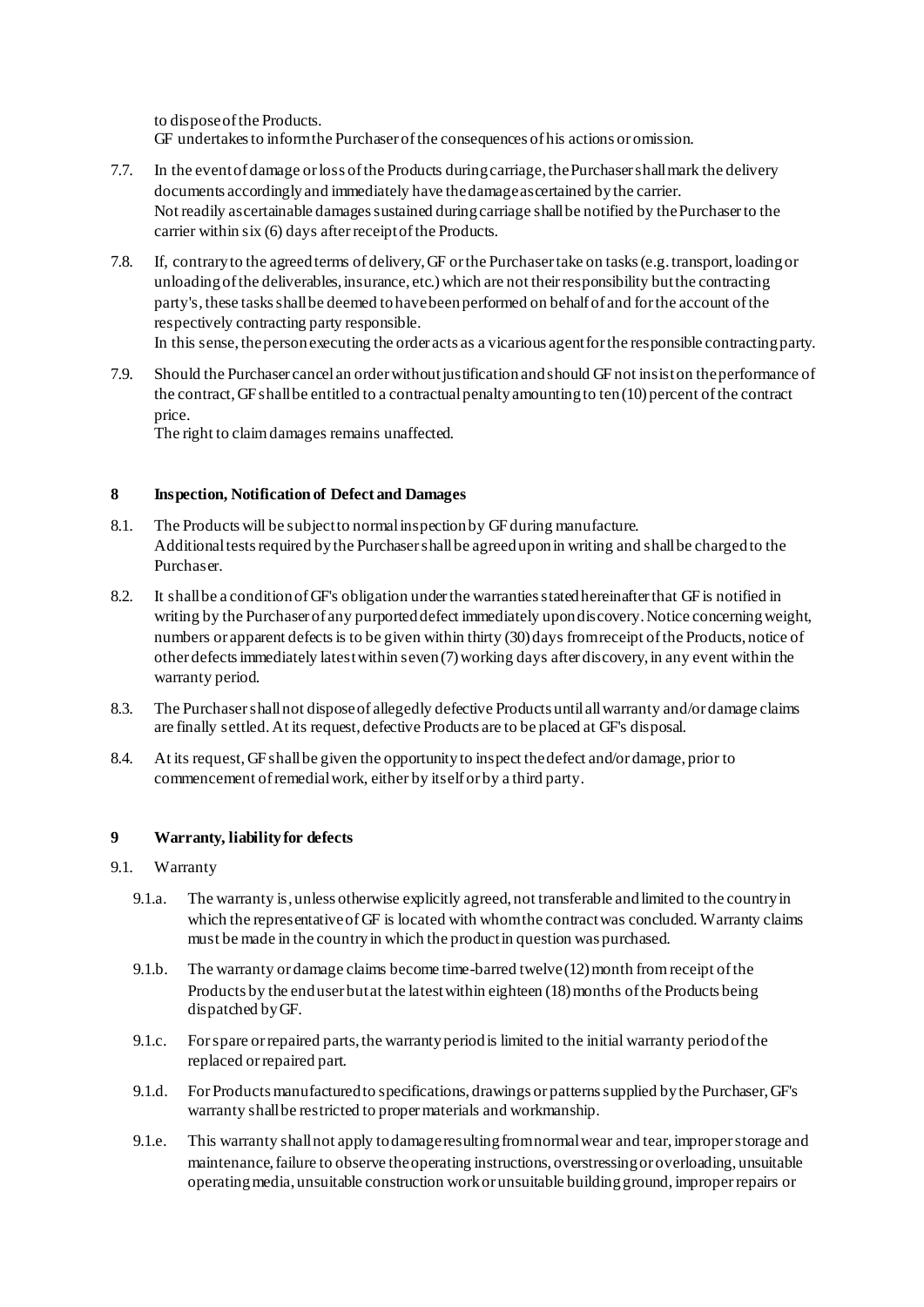to dispose of the Products. GF undertakes to inform the Purchaser of the consequences of his actions or omission.

- 7.7. In the event of damage or loss of the Products during carriage, the Purchaser shall mark the delivery documents accordingly and immediately have the damage ascertained by the carrier. Not readily ascertainable damages sustained during carriage shall be notified by the Purchaser to the carrier within six (6) days after receipt of the Products.
- 7.8. If, contrary to the agreed terms of delivery, GF or the Purchaser take on tasks (e.g. transport, loading or unloading of the deliverables, insurance, etc.) which are not their responsibility but the contracting party's, these tasks shall be deemed to have been performed on behalf of and for the account of the respectively contracting party responsible. In this sense, the person executing the order acts as a vicarious agent for the responsible contracting party.
- 7.9. Should the Purchaser cancel an order without justification and should GF not insist on the performance of the contract, GF shall be entitled to a contractual penalty amounting to ten(10) percent of the contract price.

The right to claim damages remains unaffected.

## **8 Inspection, Notification of Defect and Damages**

- 8.1. The Products will be subject to normal inspection by GF during manufacture. Additional tests required by the Purchasershall be agreed upon in writing and shall be charged to the Purchaser.
- 8.2. It shall be a condition of GF's obligation under the warranties stated hereinafter that GF is notified in writing by the Purchaser of any purported defect immediately upon discovery. Notice concerning weight, numbers or apparent defects is to be given within thirty (30) days from receipt of the Products, notice of other defects immediately latest within seven (7) working days after discovery, in any event within the warranty period.
- 8.3. The Purchasershall not disposeof allegedly defective Products until all warranty and/or damage claims are finally settled. At its request, defective Products are to be placed at GF's disposal.
- 8.4. At its request, GFshall be given the opportunity to inspect the defect and/or damage, prior to commencement of remedial work, either by itself or by a third party.

## **9 Warranty, liability for defects**

## 9.1. Warranty

- 9.1.a. The warranty is, unless otherwise explicitly agreed, not transferable and limited to the country in which the representative of GF is located with whom the contract was concluded. Warranty claims must be made in the country in which the product in question was purchased.
- 9.1.b. The warranty or damage claims become time-barred twelve (12) month from receipt of the Products by the end user but at the latest within eighteen (18) months of the Products being dispatched by GF.
- 9.1.c. For spare or repaired parts, the warranty period is limited to the initial warranty period of the replaced or repaired part.
- 9.1.d. For Products manufactured to specifications, drawings or patterns supplied by the Purchaser, GF's warranty shall be restricted to proper materials and workmanship.
- 9.1.e. This warranty shall not apply to damage resulting from normal wear and tear, improper storage and maintenance, failure to observe the operating instructions, overstressing or overloading, unsuitable operating media, unsuitable construction work or unsuitable building ground, improper repairs or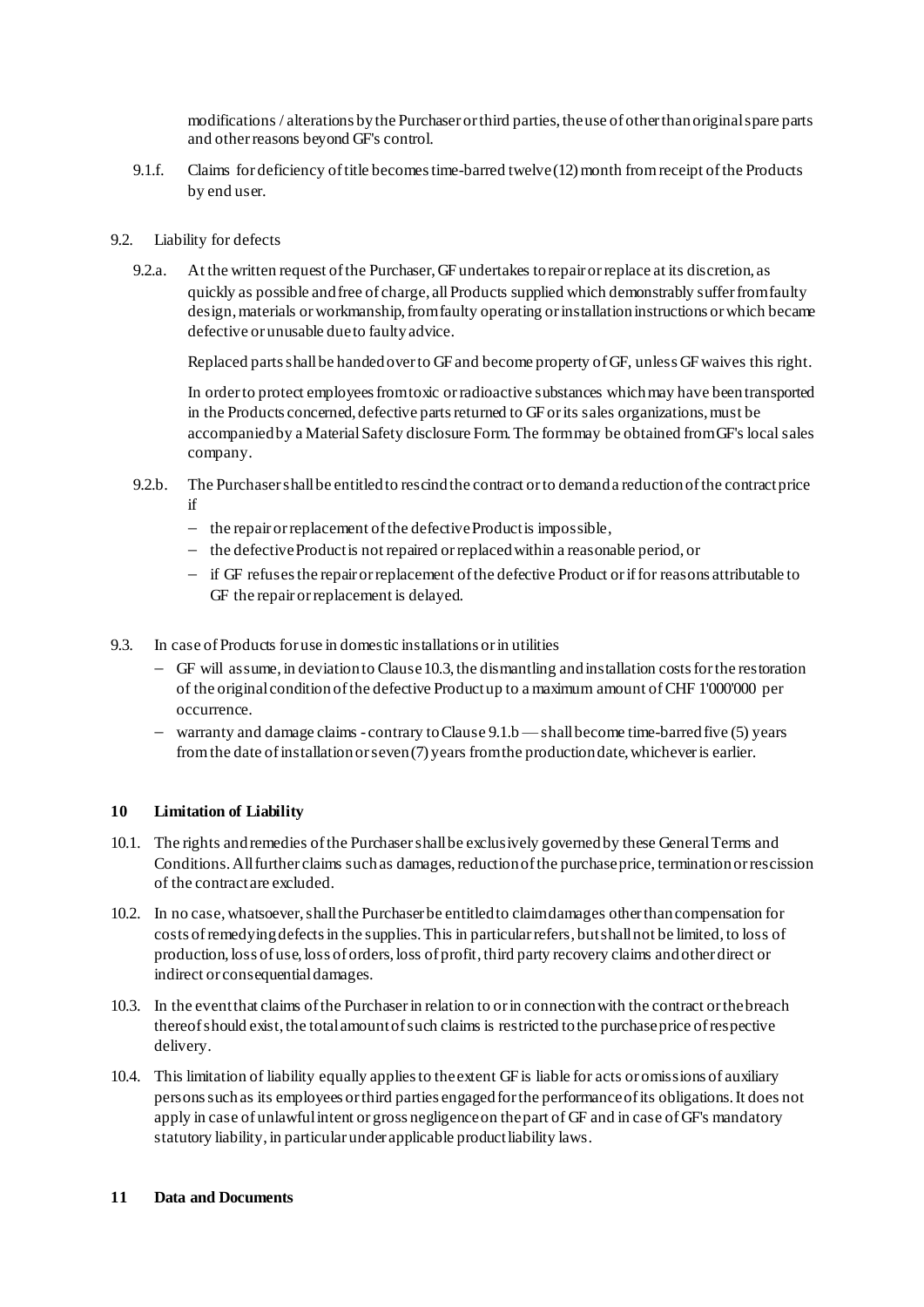modifications / alterations by the Purchaser or third parties, the use of other than original spare parts and other reasons beyond GF's control.

- 9.1.f. Claims for deficiency of title becomes time-barred twelve (12) month from receipt of the Products by end user.
- 9.2. Liability for defects
	- 9.2.a. At the written request of the Purchaser, GF undertakes to repair or replace at its discretion, as quickly as possible and free of charge, all Products supplied which demonstrably suffer from faulty design, materials or workmanship, from faulty operating or installation instructions or which became defective or unusable due to faulty advice.

Replaced parts shall be handed over to GF and become property of GF, unless GF waives this right.

In order to protect employees from toxic or radioactive substances which may have been transported in the Products concerned, defective parts returned to GF or its sales organizations, must be accompanied by a Material Safety disclosure Form. The form may be obtained from GF's local sales company.

- 9.2.b. The Purchaser shall be entitled to rescind the contract or to demand a reduction of the contract price if
	- $\hbox{I}$  the repair or replacement of the defective Product is impossible,
	- the defective Product is not repaired or replaced within a reasonable period, or
	- if GF refuses the repair or replacement of the defective Product or if for reasons attributable to GF the repair or replacement is delayed.
- 9.3. In case of Products for use in domestic installations or in utilities
	- GF will assume, in deviation to Clause 10.3,the dismantling and installation costs for the restoration of the original condition of the defective Product up to a maximum amount of CHF 1'000'000 per occurrence.
	- warranty and damage claims contrary to Clause 9.1.b —shall become time-barred five (5) years from the date of installation or seven (7) years from the production date, whichever is earlier.

#### **10 Limitation of Liability**

- 10.1. The rights and remedies of the Purchaser shall be exclusively governed by these General Terms and Conditions. All further claims such as damages, reduction of the purchase price, termination or rescission of the contract are excluded.
- 10.2. In no case,whatsoever,shall the Purchaser be entitled to claim damages other than compensation for costs of remedying defects in the supplies. This in particular refers, but shall not be limited, to loss of production, loss of use, loss of orders, loss of profit, third party recovery claims and other direct or indirect or consequential damages.
- 10.3. In the event that claims of the Purchaserin relation to or in connection with the contract or the breach thereof should exist, the total amount of such claims is restricted to the purchase price of respective delivery.
- 10.4. This limitation of liability equally applies to the extent GF is liable for acts or omissions of auxiliary persons such as its employees or third parties engagedfor the performance of its obligations. It does not apply in case of unlawful intent or gross negligence on the part of GF and in case of GF's mandatory statutory liability, in particular under applicable product liability laws.

## **11 Data and Documents**